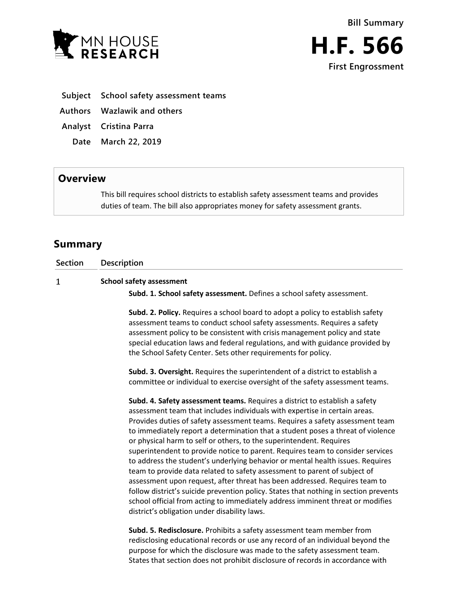



- **Subject School safety assessment teams**
- **Authors Wazlawik and others**
- **Analyst Cristina Parra**
	- **Date March 22, 2019**

## **Overview**

This bill requires school districts to establish safety assessment teams and provides duties of team. The bill also appropriates money for safety assessment grants.

## **Summary**

**Section Description**  $\mathbf{1}$ **School safety assessment Subd. 1. School safety assessment.** Defines a school safety assessment.

> **Subd. 2. Policy.** Requires a school board to adopt a policy to establish safety assessment teams to conduct school safety assessments. Requires a safety assessment policy to be consistent with crisis management policy and state special education laws and federal regulations, and with guidance provided by the School Safety Center. Sets other requirements for policy.

> **Subd. 3. Oversight.** Requires the superintendent of a district to establish a committee or individual to exercise oversight of the safety assessment teams.

**Subd. 4. Safety assessment teams.** Requires a district to establish a safety assessment team that includes individuals with expertise in certain areas. Provides duties of safety assessment teams. Requires a safety assessment team to immediately report a determination that a student poses a threat of violence or physical harm to self or others, to the superintendent. Requires superintendent to provide notice to parent. Requires team to consider services to address the student's underlying behavior or mental health issues. Requires team to provide data related to safety assessment to parent of subject of assessment upon request, after threat has been addressed. Requires team to follow district's suicide prevention policy. States that nothing in section prevents school official from acting to immediately address imminent threat or modifies district's obligation under disability laws.

**Subd. 5. Redisclosure.** Prohibits a safety assessment team member from redisclosing educational records or use any record of an individual beyond the purpose for which the disclosure was made to the safety assessment team. States that section does not prohibit disclosure of records in accordance with